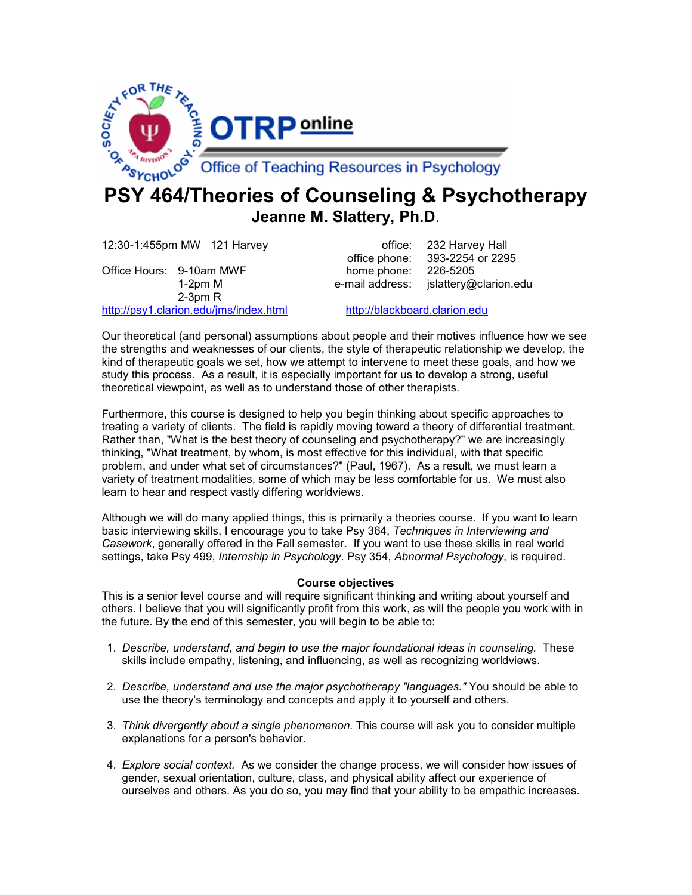

## PSY 464/Theories of Counseling & Psychotherapy Jeanne M. Slattery, Ph.D.

12:30-1:455pm MW 121 Harvey **East Communist Contract Contract Contract Contract Contract Contract Contract Contra** office phone: 393-2254 or 2295 Office Hours: 9-10am MWF home phone: 226-5205 1-2pm M e-mail address: jslattery@clarion.edu 2-3pm R http://psy1.clarion.edu/jms/index.html http://blackboard.clarion.edu

Our theoretical (and personal) assumptions about people and their motives influence how we see the strengths and weaknesses of our clients, the style of therapeutic relationship we develop, the kind of therapeutic goals we set, how we attempt to intervene to meet these goals, and how we study this process. As a result, it is especially important for us to develop a strong, useful theoretical viewpoint, as well as to understand those of other therapists.

Furthermore, this course is designed to help you begin thinking about specific approaches to treating a variety of clients. The field is rapidly moving toward a theory of differential treatment. Rather than, "What is the best theory of counseling and psychotherapy?" we are increasingly thinking, "What treatment, by whom, is most effective for this individual, with that specific problem, and under what set of circumstances?" (Paul, 1967). As a result, we must learn a variety of treatment modalities, some of which may be less comfortable for us. We must also learn to hear and respect vastly differing worldviews.

Although we will do many applied things, this is primarily a theories course. If you want to learn basic interviewing skills, I encourage you to take Psy 364, Techniques in Interviewing and Casework, generally offered in the Fall semester. If you want to use these skills in real world settings, take Psy 499, Internship in Psychology. Psy 354, Abnormal Psychology, is required.

#### Course objectives

This is a senior level course and will require significant thinking and writing about yourself and others. I believe that you will significantly profit from this work, as will the people you work with in the future. By the end of this semester, you will begin to be able to:

- 1. Describe, understand, and begin to use the major foundational ideas in counseling. These skills include empathy, listening, and influencing, as well as recognizing worldviews.
- 2. Describe, understand and use the major psychotherapy "languages." You should be able to use the theory's terminology and concepts and apply it to yourself and others.
- 3. Think divergently about a single phenomenon. This course will ask you to consider multiple explanations for a person's behavior.
- 4. Explore social context. As we consider the change process, we will consider how issues of gender, sexual orientation, culture, class, and physical ability affect our experience of ourselves and others. As you do so, you may find that your ability to be empathic increases.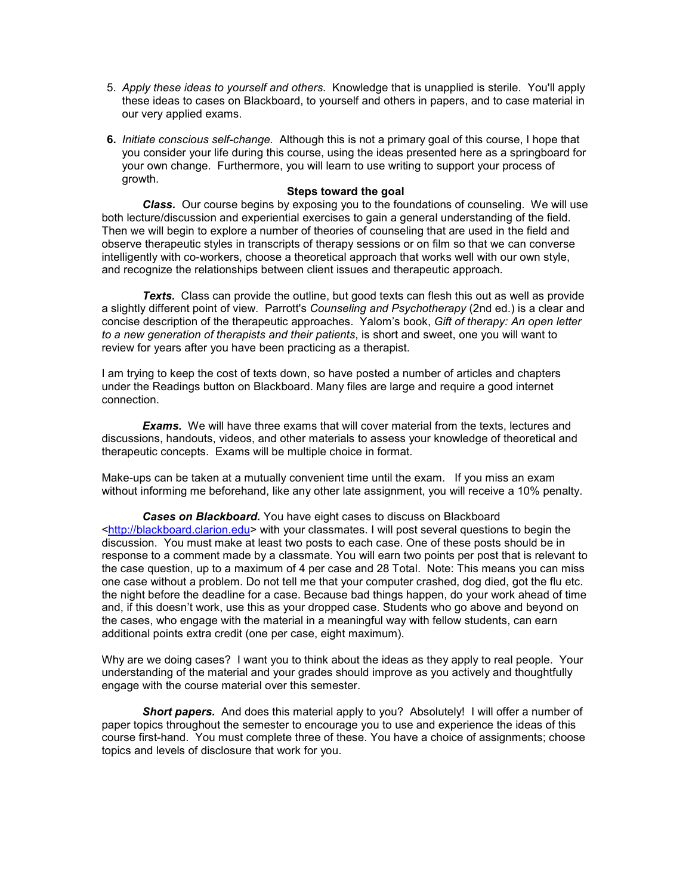- 5. Apply these ideas to yourself and others. Knowledge that is unapplied is sterile. You'll apply these ideas to cases on Blackboard, to yourself and others in papers, and to case material in our very applied exams.
- 6. Initiate conscious self-change. Although this is not a primary goal of this course, I hope that you consider your life during this course, using the ideas presented here as a springboard for your own change. Furthermore, you will learn to use writing to support your process of growth.

#### Steps toward the goal

Class. Our course begins by exposing you to the foundations of counseling. We will use both lecture/discussion and experiential exercises to gain a general understanding of the field. Then we will begin to explore a number of theories of counseling that are used in the field and observe therapeutic styles in transcripts of therapy sessions or on film so that we can converse intelligently with co-workers, choose a theoretical approach that works well with our own style, and recognize the relationships between client issues and therapeutic approach.

**Texts.** Class can provide the outline, but good texts can flesh this out as well as provide a slightly different point of view. Parrott's Counseling and Psychotherapy (2nd ed.) is a clear and concise description of the therapeutic approaches. Yalom's book, Gift of therapy: An open letter to a new generation of therapists and their patients, is short and sweet, one you will want to review for years after you have been practicing as a therapist.

I am trying to keep the cost of texts down, so have posted a number of articles and chapters under the Readings button on Blackboard. Many files are large and require a good internet connection.

**Exams.** We will have three exams that will cover material from the texts, lectures and discussions, handouts, videos, and other materials to assess your knowledge of theoretical and therapeutic concepts. Exams will be multiple choice in format.

Make-ups can be taken at a mutually convenient time until the exam. If you miss an exam without informing me beforehand, like any other late assignment, you will receive a 10% penalty.

Cases on Blackboard. You have eight cases to discuss on Blackboard <http://blackboard.clarion.edu> with your classmates. I will post several questions to begin the discussion. You must make at least two posts to each case. One of these posts should be in response to a comment made by a classmate. You will earn two points per post that is relevant to the case question, up to a maximum of 4 per case and 28 Total. Note: This means you can miss one case without a problem. Do not tell me that your computer crashed, dog died, got the flu etc. the night before the deadline for a case. Because bad things happen, do your work ahead of time and, if this doesn't work, use this as your dropped case. Students who go above and beyond on the cases, who engage with the material in a meaningful way with fellow students, can earn additional points extra credit (one per case, eight maximum).

Why are we doing cases? I want you to think about the ideas as they apply to real people. Your understanding of the material and your grades should improve as you actively and thoughtfully engage with the course material over this semester.

Short papers. And does this material apply to you? Absolutely! I will offer a number of paper topics throughout the semester to encourage you to use and experience the ideas of this course first-hand. You must complete three of these. You have a choice of assignments; choose topics and levels of disclosure that work for you.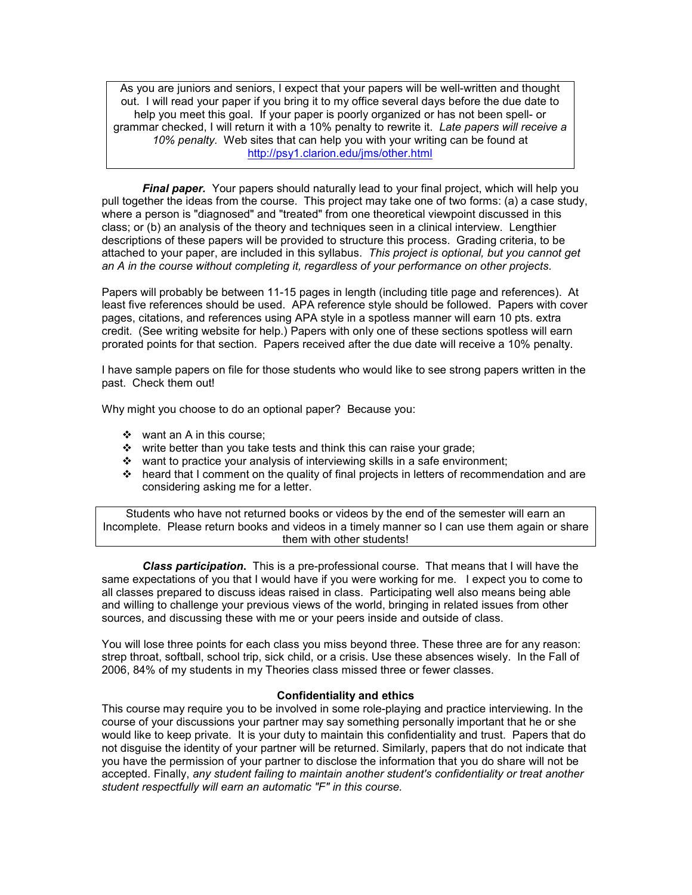As you are juniors and seniors, I expect that your papers will be well-written and thought out. I will read your paper if you bring it to my office several days before the due date to help you meet this goal. If your paper is poorly organized or has not been spell- or grammar checked, I will return it with a 10% penalty to rewrite it. Late papers will receive a 10% penalty. Web sites that can help you with your writing can be found at http://psy1.clarion.edu/jms/other.html

**Final paper.** Your papers should naturally lead to your final project, which will help you pull together the ideas from the course. This project may take one of two forms: (a) a case study, where a person is "diagnosed" and "treated" from one theoretical viewpoint discussed in this class; or (b) an analysis of the theory and techniques seen in a clinical interview. Lengthier descriptions of these papers will be provided to structure this process. Grading criteria, to be attached to your paper, are included in this syllabus. This project is optional, but you cannot get an A in the course without completing it, regardless of your performance on other projects.

Papers will probably be between 11-15 pages in length (including title page and references). At least five references should be used. APA reference style should be followed. Papers with cover pages, citations, and references using APA style in a spotless manner will earn 10 pts. extra credit. (See writing website for help.) Papers with only one of these sections spotless will earn prorated points for that section. Papers received after the due date will receive a 10% penalty.

I have sample papers on file for those students who would like to see strong papers written in the past. Check them out!

Why might you choose to do an optional paper? Because you:

 $\div$  want an A in this course;

- $\div$  write better than you take tests and think this can raise your grade;
- \* want to practice your analysis of interviewing skills in a safe environment;
- $\div$  heard that I comment on the quality of final projects in letters of recommendation and are considering asking me for a letter.

Students who have not returned books or videos by the end of the semester will earn an Incomplete. Please return books and videos in a timely manner so I can use them again or share them with other students!

Class participation. This is a pre-professional course. That means that I will have the same expectations of you that I would have if you were working for me. I expect you to come to all classes prepared to discuss ideas raised in class. Participating well also means being able and willing to challenge your previous views of the world, bringing in related issues from other sources, and discussing these with me or your peers inside and outside of class.

You will lose three points for each class you miss beyond three. These three are for any reason: strep throat, softball, school trip, sick child, or a crisis. Use these absences wisely. In the Fall of 2006, 84% of my students in my Theories class missed three or fewer classes.

#### Confidentiality and ethics

This course may require you to be involved in some role-playing and practice interviewing. In the course of your discussions your partner may say something personally important that he or she would like to keep private. It is your duty to maintain this confidentiality and trust. Papers that do not disguise the identity of your partner will be returned. Similarly, papers that do not indicate that you have the permission of your partner to disclose the information that you do share will not be accepted. Finally, any student failing to maintain another student's confidentiality or treat another student respectfully will earn an automatic "F" in this course.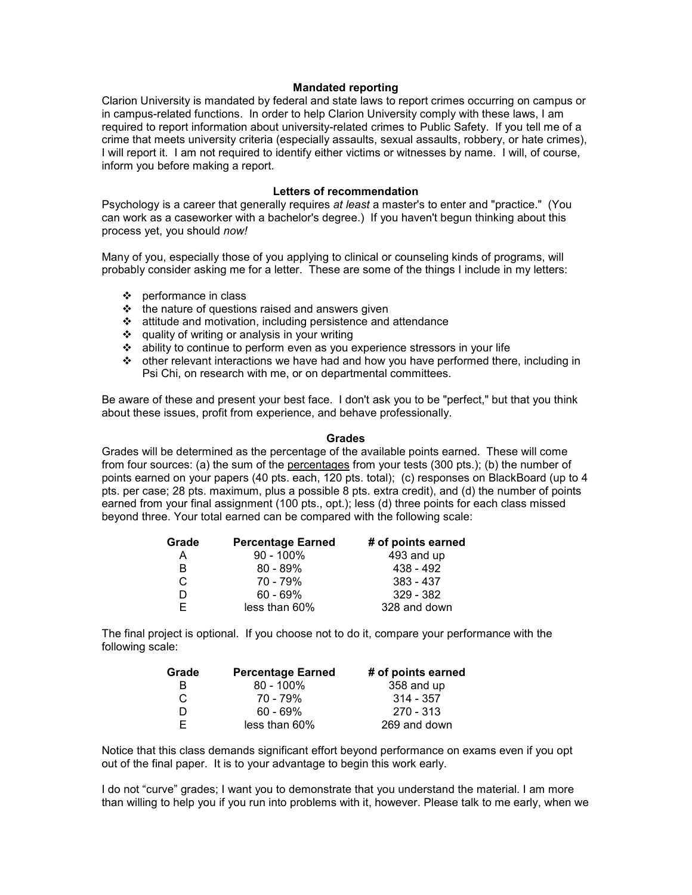#### Mandated reporting

Clarion University is mandated by federal and state laws to report crimes occurring on campus or in campus-related functions. In order to help Clarion University comply with these laws, I am required to report information about university-related crimes to Public Safety. If you tell me of a crime that meets university criteria (especially assaults, sexual assaults, robbery, or hate crimes), I will report it. I am not required to identify either victims or witnesses by name. I will, of course, inform you before making a report.

#### Letters of recommendation

Psychology is a career that generally requires at least a master's to enter and "practice." (You can work as a caseworker with a bachelor's degree.) If you haven't begun thinking about this process yet, you should now!

Many of you, especially those of you applying to clinical or counseling kinds of programs, will probably consider asking me for a letter. These are some of the things I include in my letters:

- $\div$  performance in class
- $\triangle$  the nature of questions raised and answers given
- $\cdot$  attitude and motivation, including persistence and attendance
- quality of writing or analysis in your writing
- ability to continue to perform even as you experience stressors in your life
- other relevant interactions we have had and how you have performed there, including in Psi Chi, on research with me, or on departmental committees.

Be aware of these and present your best face. I don't ask you to be "perfect," but that you think about these issues, profit from experience, and behave professionally.

#### **Grades**

Grades will be determined as the percentage of the available points earned. These will come from four sources: (a) the sum of the percentages from your tests (300 pts.); (b) the number of points earned on your papers (40 pts. each, 120 pts. total); (c) responses on BlackBoard (up to 4 pts. per case; 28 pts. maximum, plus a possible 8 pts. extra credit), and (d) the number of points earned from your final assignment (100 pts., opt.); less (d) three points for each class missed beyond three. Your total earned can be compared with the following scale:

| Grade | <b>Percentage Earned</b> | # of points earned |
|-------|--------------------------|--------------------|
| А     | $90 - 100\%$             | 493 and up         |
| B     | $80 - 89\%$              | 438 - 492          |
| С     | 70 - 79%                 | 383 - 437          |
| D     | $60 - 69\%$              | 329 - 382          |
| F.    | less than 60%            | 328 and down       |

The final project is optional. If you choose not to do it, compare your performance with the following scale:

| Grade | # of points earned<br><b>Percentage Earned</b> |              |
|-------|------------------------------------------------|--------------|
| R     | $80 - 100\%$                                   | 358 and up   |
| C     | 70 - 79%                                       | $314 - 357$  |
| D     | $60 - 69\%$                                    | $270 - 313$  |
| F.    | less than 60%                                  | 269 and down |

Notice that this class demands significant effort beyond performance on exams even if you opt out of the final paper. It is to your advantage to begin this work early.

I do not "curve" grades; I want you to demonstrate that you understand the material. I am more than willing to help you if you run into problems with it, however. Please talk to me early, when we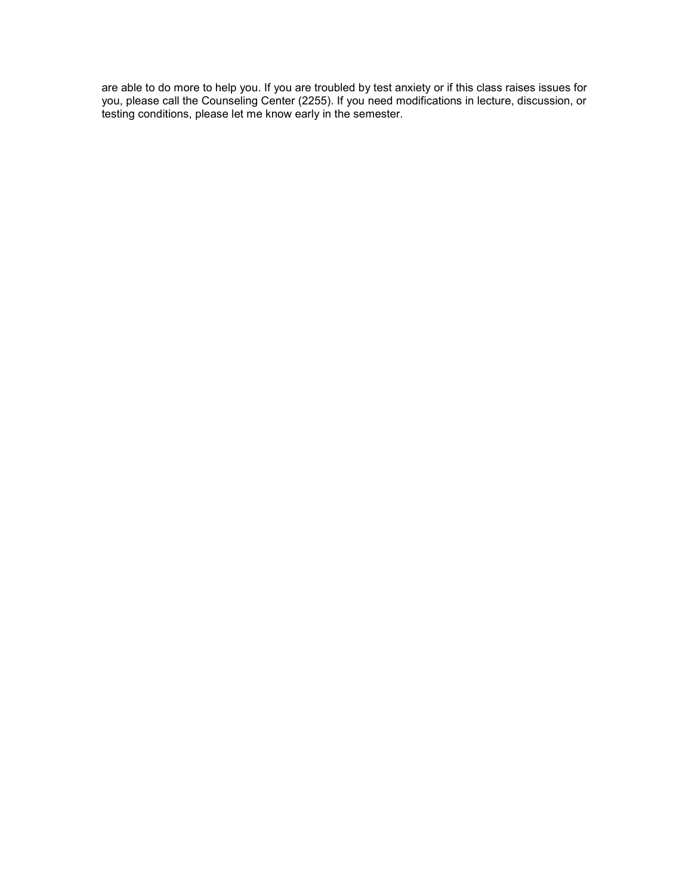are able to do more to help you. If you are troubled by test anxiety or if this class raises issues for you, please call the Counseling Center (2255). If you need modifications in lecture, discussion, or testing conditions, please let me know early in the semester.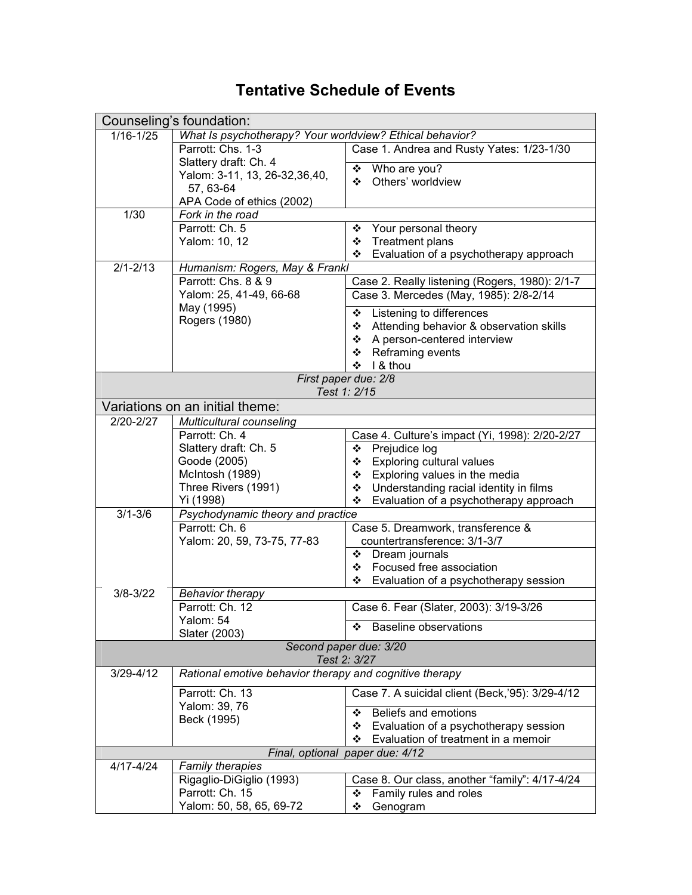# Tentative Schedule of Events

|                                        | Counseling's foundation:                                 |                                                                                   |  |  |
|----------------------------------------|----------------------------------------------------------|-----------------------------------------------------------------------------------|--|--|
| $1/16 - 1/25$                          | What Is psychotherapy? Your worldview? Ethical behavior? |                                                                                   |  |  |
| Parrott: Chs. 1-3                      |                                                          | Case 1. Andrea and Rusty Yates: 1/23-1/30                                         |  |  |
|                                        | Slattery draft: Ch. 4                                    | Who are you?<br>❖                                                                 |  |  |
|                                        | Yalom: 3-11, 13, 26-32, 36, 40,<br>57, 63-64             | Others' worldview<br>❖                                                            |  |  |
| APA Code of ethics (2002)              |                                                          |                                                                                   |  |  |
| 1/30                                   | Fork in the road                                         |                                                                                   |  |  |
|                                        | Parrott: Ch. 5                                           | Your personal theory<br>❖                                                         |  |  |
|                                        | Yalom: 10, 12                                            | <b>Treatment plans</b><br>❖                                                       |  |  |
|                                        |                                                          | Evaluation of a psychotherapy approach<br>❖                                       |  |  |
| $2/1 - 2/13$                           | Humanism: Rogers, May & Frankl                           |                                                                                   |  |  |
|                                        | Parrott: Chs. 8 & 9                                      | Case 2. Really listening (Rogers, 1980): 2/1-7                                    |  |  |
|                                        | Yalom: 25, 41-49, 66-68<br>May (1995)                    | Case 3. Mercedes (May, 1985): 2/8-2/14                                            |  |  |
|                                        | Rogers (1980)                                            | Listening to differences<br>❖                                                     |  |  |
|                                        |                                                          | Attending behavior & observation skills<br>❖                                      |  |  |
|                                        |                                                          | A person-centered interview<br>❖<br>❖                                             |  |  |
|                                        |                                                          | Reframing events<br>I & thou<br>※                                                 |  |  |
|                                        |                                                          | First paper due: 2/8                                                              |  |  |
|                                        |                                                          | Test 1: 2/15                                                                      |  |  |
|                                        | Variations on an initial theme:                          |                                                                                   |  |  |
| $2/20 - 2/27$                          | <b>Multicultural counseling</b>                          |                                                                                   |  |  |
|                                        | Parrott: Ch. 4                                           | Case 4. Culture's impact (Yi, 1998): 2/20-2/27                                    |  |  |
|                                        | Slattery draft: Ch. 5                                    | Prejudice log<br>❖                                                                |  |  |
|                                        | Goode (2005)                                             | Exploring cultural values<br>❖                                                    |  |  |
|                                        | McIntosh (1989)<br>Three Rivers (1991)                   | Exploring values in the media<br>❖<br>Understanding racial identity in films<br>❖ |  |  |
|                                        | Yi (1998)                                                | ❖<br>Evaluation of a psychotherapy approach                                       |  |  |
| $3/1 - 3/6$                            | Psychodynamic theory and practice                        |                                                                                   |  |  |
|                                        | Parrott: Ch. 6                                           | Case 5. Dreamwork, transference &                                                 |  |  |
|                                        | Yalom: 20, 59, 73-75, 77-83                              | countertransference: 3/1-3/7                                                      |  |  |
|                                        |                                                          | Dream journals<br>❖                                                               |  |  |
|                                        |                                                          | ❖ Focused free association                                                        |  |  |
| $3/8 - 3/22$                           | <b>Behavior therapy</b>                                  | ❖ Evaluation of a psychotherapy session                                           |  |  |
|                                        | Parrott: Ch. 12                                          | Case 6. Fear (Slater, 2003): 3/19-3/26                                            |  |  |
|                                        | Yalom: 54                                                |                                                                                   |  |  |
|                                        | Slater (2003)                                            | <b>Baseline observations</b><br>❖                                                 |  |  |
| Second paper due: 3/20<br>Test 2: 3/27 |                                                          |                                                                                   |  |  |
| $3/29 - 4/12$                          | Rational emotive behavior therapy and cognitive therapy  |                                                                                   |  |  |
|                                        | Parrott: Ch. 13                                          | Case 7. A suicidal client (Beck, '95): 3/29-4/12                                  |  |  |
|                                        | Yalom: 39, 76<br>Beck (1995)                             | Beliefs and emotions<br>❖                                                         |  |  |
|                                        |                                                          | Evaluation of a psychotherapy session<br>❖                                        |  |  |
|                                        |                                                          | Evaluation of treatment in a memoir<br>❖                                          |  |  |
| $4/17 - 4/24$                          | <b>Family therapies</b>                                  | Final, optional paper due: 4/12                                                   |  |  |
|                                        | Rigaglio-DiGiglio (1993)                                 | Case 8. Our class, another "family": 4/17-4/24                                    |  |  |
|                                        | Parrott: Ch. 15                                          | Family rules and roles<br>❖                                                       |  |  |
|                                        | Yalom: 50, 58, 65, 69-72                                 | Genogram<br>❖                                                                     |  |  |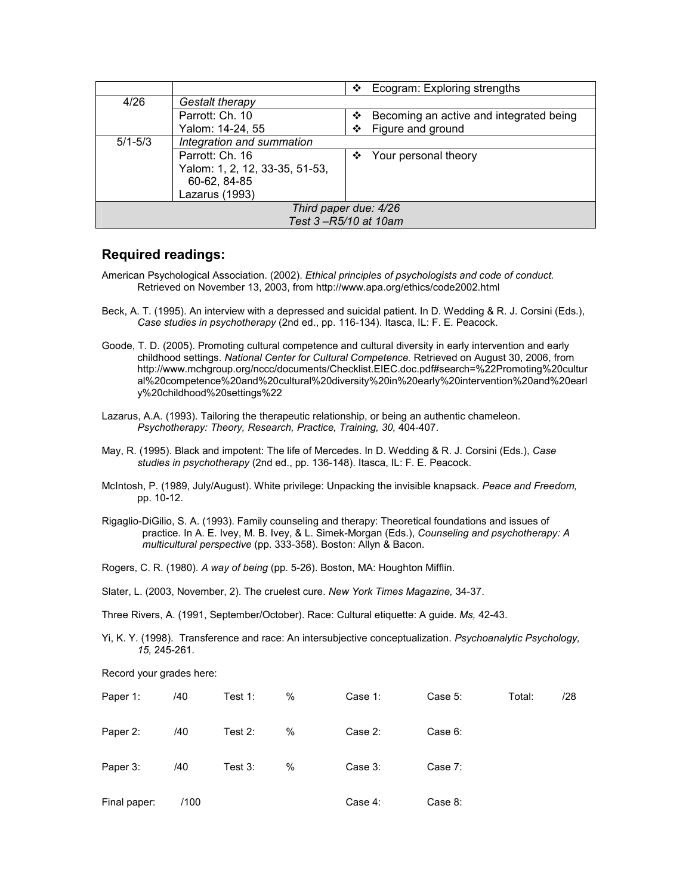|                       |                                | Ecogram: Exploring strengths<br>❖            |  |  |
|-----------------------|--------------------------------|----------------------------------------------|--|--|
| 4/26                  | Gestalt therapy                |                                              |  |  |
|                       | Parrott: Ch. 10                | Becoming an active and integrated being<br>❖ |  |  |
|                       | Yalom: 14-24, 55               | Figure and ground<br>❖                       |  |  |
| $5/1 - 5/3$           | Integration and summation      |                                              |  |  |
|                       | Parrott: Ch. 16                | Your personal theory<br>❖                    |  |  |
|                       | Yalom: 1, 2, 12, 33-35, 51-53, |                                              |  |  |
|                       | 60-62, 84-85                   |                                              |  |  |
|                       | Lazarus (1993)                 |                                              |  |  |
| Third paper due: 4/26 |                                |                                              |  |  |
|                       |                                | Test 3-R5/10 at 10am                         |  |  |

### Required readings:

- American Psychological Association. (2002). Ethical principles of psychologists and code of conduct. Retrieved on November 13, 2003, from http://www.apa.org/ethics/code2002.html
- Beck, A. T. (1995). An interview with a depressed and suicidal patient. In D. Wedding & R. J. Corsini (Eds.), Case studies in psychotherapy (2nd ed., pp. 116-134). Itasca, IL: F. E. Peacock.
- Goode, T. D. (2005). Promoting cultural competence and cultural diversity in early intervention and early childhood settings. National Center for Cultural Competence. Retrieved on August 30, 2006, from http://www.mchgroup.org/nccc/documents/Checklist.EIEC.doc.pdf#search=%22Promoting%20cultur al%20competence%20and%20cultural%20diversity%20in%20early%20intervention%20and%20earl y%20childhood%20settings%22
- Lazarus, A.A. (1993). Tailoring the therapeutic relationship, or being an authentic chameleon. Psychotherapy: Theory, Research, Practice, Training, 30, 404-407.
- May, R. (1995). Black and impotent: The life of Mercedes. In D. Wedding & R. J. Corsini (Eds.), Case studies in psychotherapy (2nd ed., pp. 136-148). Itasca, IL: F. E. Peacock.
- McIntosh, P. (1989, July/August). White privilege: Unpacking the invisible knapsack. Peace and Freedom, pp. 10-12.
- Rigaglio-DiGilio, S. A. (1993). Family counseling and therapy: Theoretical foundations and issues of practice. In A. E. Ivey, M. B. Ivey, & L. Simek-Morgan (Eds.), Counseling and psychotherapy: A multicultural perspective (pp. 333-358). Boston: Allyn & Bacon.
- Rogers, C. R. (1980). A way of being (pp. 5-26). Boston, MA: Houghton Mifflin.
- Slater, L. (2003, November, 2). The cruelest cure. New York Times Magazine, 34-37.

Three Rivers, A. (1991, September/October). Race: Cultural etiquette: A guide. Ms, 42-43.

Yi, K. Y. (1998). Transference and race: An intersubjective conceptualization. Psychoanalytic Psychology, 15, 245-261.

Record your grades here:

| Paper 1:     | /40  | Test $1$ : | %    | Case 1: | Case 5: | Total: | /28 |
|--------------|------|------------|------|---------|---------|--------|-----|
| Paper 2:     | /40  | Test $2:$  | %    | Case 2: | Case 6: |        |     |
| Paper 3:     | /40  | Test $3:$  | $\%$ | Case 3: | Case 7: |        |     |
| Final paper: | /100 |            |      | Case 4: | Case 8: |        |     |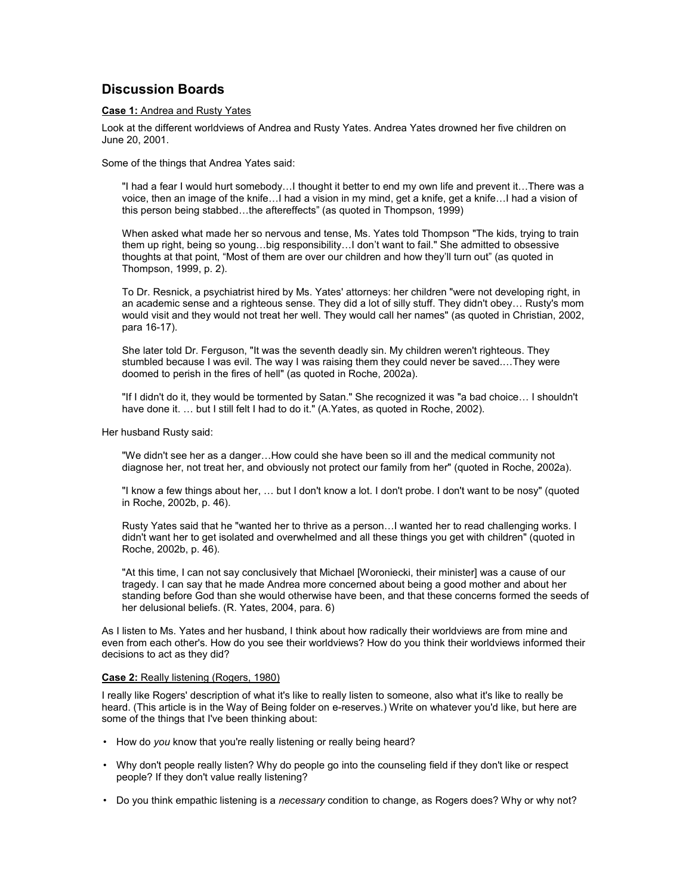### Discussion Boards

#### Case 1: Andrea and Rusty Yates

Look at the different worldviews of Andrea and Rusty Yates. Andrea Yates drowned her five children on June 20, 2001.

Some of the things that Andrea Yates said:

"I had a fear I would hurt somebody…I thought it better to end my own life and prevent it…There was a voice, then an image of the knife…I had a vision in my mind, get a knife, get a knife…I had a vision of this person being stabbed…the aftereffects" (as quoted in Thompson, 1999)

When asked what made her so nervous and tense, Ms. Yates told Thompson "The kids, trying to train them up right, being so young…big responsibility…I don't want to fail." She admitted to obsessive thoughts at that point, "Most of them are over our children and how they'll turn out" (as quoted in Thompson, 1999, p. 2).

To Dr. Resnick, a psychiatrist hired by Ms. Yates' attorneys: her children "were not developing right, in an academic sense and a righteous sense. They did a lot of silly stuff. They didn't obey… Rusty's mom would visit and they would not treat her well. They would call her names" (as quoted in Christian, 2002, para 16-17).

She later told Dr. Ferguson, "It was the seventh deadly sin. My children weren't righteous. They stumbled because I was evil. The way I was raising them they could never be saved.…They were doomed to perish in the fires of hell" (as quoted in Roche, 2002a).

"If I didn't do it, they would be tormented by Satan." She recognized it was "a bad choice… I shouldn't have done it. ... but I still felt I had to do it." (A.Yates, as quoted in Roche, 2002).

Her husband Rusty said:

"We didn't see her as a danger…How could she have been so ill and the medical community not diagnose her, not treat her, and obviously not protect our family from her" (quoted in Roche, 2002a).

"I know a few things about her, … but I don't know a lot. I don't probe. I don't want to be nosy" (quoted in Roche, 2002b, p. 46).

Rusty Yates said that he "wanted her to thrive as a person…I wanted her to read challenging works. I didn't want her to get isolated and overwhelmed and all these things you get with children" (quoted in Roche, 2002b, p. 46).

"At this time, I can not say conclusively that Michael [Woroniecki, their minister] was a cause of our tragedy. I can say that he made Andrea more concerned about being a good mother and about her standing before God than she would otherwise have been, and that these concerns formed the seeds of her delusional beliefs. (R. Yates, 2004, para. 6)

As I listen to Ms. Yates and her husband, I think about how radically their worldviews are from mine and even from each other's. How do you see their worldviews? How do you think their worldviews informed their decisions to act as they did?

#### Case 2: Really listening (Rogers, 1980)

I really like Rogers' description of what it's like to really listen to someone, also what it's like to really be heard. (This article is in the Way of Being folder on e-reserves.) Write on whatever you'd like, but here are some of the things that I've been thinking about:

- How do you know that you're really listening or really being heard?
- Why don't people really listen? Why do people go into the counseling field if they don't like or respect people? If they don't value really listening?
- Do you think empathic listening is a necessary condition to change, as Rogers does? Why or why not?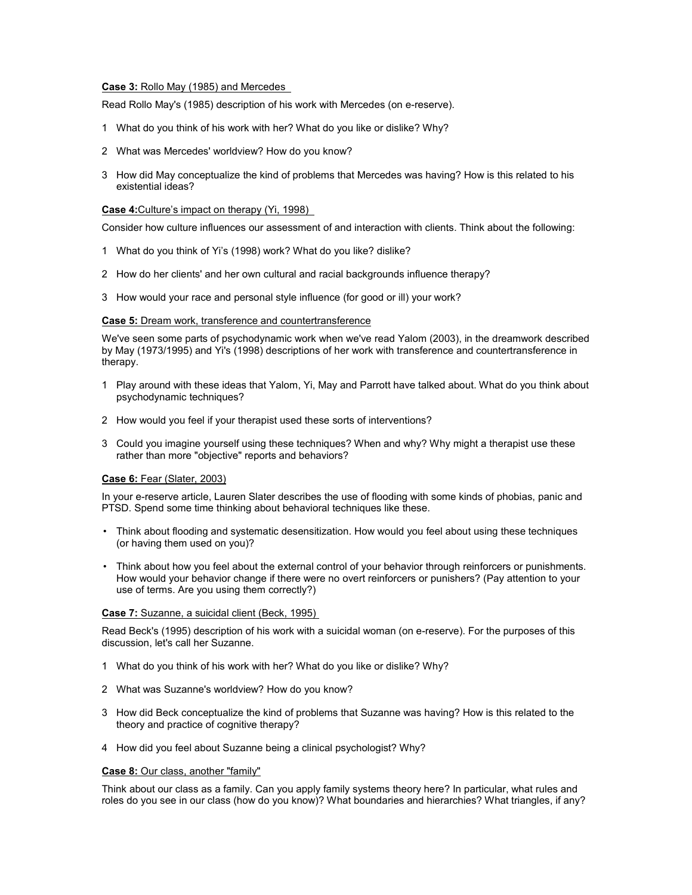#### Case 3: Rollo May (1985) and Mercedes

Read Rollo May's (1985) description of his work with Mercedes (on e-reserve).

- 1 What do you think of his work with her? What do you like or dislike? Why?
- 2 What was Mercedes' worldview? How do you know?
- 3 How did May conceptualize the kind of problems that Mercedes was having? How is this related to his existential ideas?

#### Case 4:Culture's impact on therapy (Yi, 1998)

Consider how culture influences our assessment of and interaction with clients. Think about the following:

- 1 What do you think of Yi's (1998) work? What do you like? dislike?
- 2 How do her clients' and her own cultural and racial backgrounds influence therapy?
- 3 How would your race and personal style influence (for good or ill) your work?

#### Case 5: Dream work, transference and countertransference

We've seen some parts of psychodynamic work when we've read Yalom (2003), in the dreamwork described by May (1973/1995) and Yi's (1998) descriptions of her work with transference and countertransference in therapy.

- 1 Play around with these ideas that Yalom, Yi, May and Parrott have talked about. What do you think about psychodynamic techniques?
- 2 How would you feel if your therapist used these sorts of interventions?
- 3 Could you imagine yourself using these techniques? When and why? Why might a therapist use these rather than more "objective" reports and behaviors?

#### Case 6: Fear (Slater, 2003)

In your e-reserve article, Lauren Slater describes the use of flooding with some kinds of phobias, panic and PTSD. Spend some time thinking about behavioral techniques like these.

- Think about flooding and systematic desensitization. How would you feel about using these techniques (or having them used on you)?
- Think about how you feel about the external control of your behavior through reinforcers or punishments. How would your behavior change if there were no overt reinforcers or punishers? (Pay attention to your use of terms. Are you using them correctly?)

#### Case 7: Suzanne, a suicidal client (Beck, 1995)

Read Beck's (1995) description of his work with a suicidal woman (on e-reserve). For the purposes of this discussion, let's call her Suzanne.

- 1 What do you think of his work with her? What do you like or dislike? Why?
- 2 What was Suzanne's worldview? How do you know?
- 3 How did Beck conceptualize the kind of problems that Suzanne was having? How is this related to the theory and practice of cognitive therapy?
- 4 How did you feel about Suzanne being a clinical psychologist? Why?

#### Case 8: Our class, another "family"

Think about our class as a family. Can you apply family systems theory here? In particular, what rules and roles do you see in our class (how do you know)? What boundaries and hierarchies? What triangles, if any?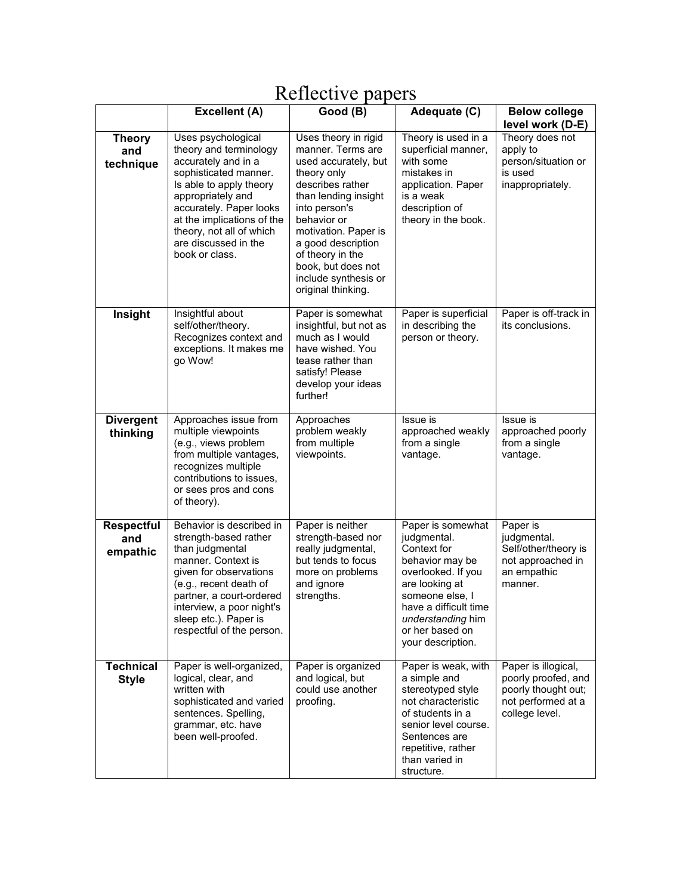|                                      | <b>Excellent (A)</b>                                                                                                                                                                                                                                                        | <i>EVILLOUT V Puppers</i><br>Good (B)                                                                                                                                                                                                                                                              | Adequate (C)                                                                                                                                                                                                        | <b>Below college</b>                                                                                      |
|--------------------------------------|-----------------------------------------------------------------------------------------------------------------------------------------------------------------------------------------------------------------------------------------------------------------------------|----------------------------------------------------------------------------------------------------------------------------------------------------------------------------------------------------------------------------------------------------------------------------------------------------|---------------------------------------------------------------------------------------------------------------------------------------------------------------------------------------------------------------------|-----------------------------------------------------------------------------------------------------------|
|                                      |                                                                                                                                                                                                                                                                             |                                                                                                                                                                                                                                                                                                    |                                                                                                                                                                                                                     | level work (D-E)                                                                                          |
| <b>Theory</b><br>and<br>technique    | Uses psychological<br>theory and terminology<br>accurately and in a<br>sophisticated manner.<br>Is able to apply theory<br>appropriately and<br>accurately. Paper looks<br>at the implications of the<br>theory, not all of which<br>are discussed in the<br>book or class. | Uses theory in rigid<br>manner. Terms are<br>used accurately, but<br>theory only<br>describes rather<br>than lending insight<br>into person's<br>behavior or<br>motivation. Paper is<br>a good description<br>of theory in the<br>book, but does not<br>include synthesis or<br>original thinking. | Theory is used in a<br>superficial manner,<br>with some<br>mistakes in<br>application. Paper<br>is a weak<br>description of<br>theory in the book.                                                                  | Theory does not<br>apply to<br>person/situation or<br>is used<br>inappropriately.                         |
| Insight                              | Insightful about<br>self/other/theory.<br>Recognizes context and<br>exceptions. It makes me<br>go Wow!                                                                                                                                                                      | Paper is somewhat<br>insightful, but not as<br>much as I would<br>have wished. You<br>tease rather than<br>satisfy! Please<br>develop your ideas<br>further!                                                                                                                                       | Paper is superficial<br>in describing the<br>person or theory.                                                                                                                                                      | Paper is off-track in<br>its conclusions.                                                                 |
| <b>Divergent</b><br>thinking         | Approaches issue from<br>multiple viewpoints<br>(e.g., views problem<br>from multiple vantages,<br>recognizes multiple<br>contributions to issues,<br>or sees pros and cons<br>of theory).                                                                                  | Approaches<br>problem weakly<br>from multiple<br>viewpoints.                                                                                                                                                                                                                                       | Issue is<br>approached weakly<br>from a single<br>vantage.                                                                                                                                                          | Issue is<br>approached poorly<br>from a single<br>vantage.                                                |
| <b>Respectful</b><br>and<br>empathic | Behavior is described in<br>strength-based rather<br>than judgmental<br>manner. Context is<br>given for observations<br>(e.g., recent death of<br>partner, a court-ordered<br>interview, a poor night's<br>sleep etc.). Paper is<br>respectful of the person.               | Paper is neither<br>strength-based nor<br>really judgmental,<br>but tends to focus<br>more on problems<br>and ignore<br>strengths.                                                                                                                                                                 | Paper is somewhat<br>judgmental.<br>Context for<br>behavior may be<br>overlooked. If you<br>are looking at<br>someone else, I<br>have a difficult time<br>understanding him<br>or her based on<br>your description. | Paper is<br>judgmental.<br>Self/other/theory is<br>not approached in<br>an empathic<br>manner.            |
| <b>Technical</b><br><b>Style</b>     | Paper is well-organized,<br>logical, clear, and<br>written with<br>sophisticated and varied<br>sentences. Spelling,<br>grammar, etc. have<br>been well-proofed.                                                                                                             | Paper is organized<br>and logical, but<br>could use another<br>proofing.                                                                                                                                                                                                                           | Paper is weak, with<br>a simple and<br>stereotyped style<br>not characteristic<br>of students in a<br>senior level course.<br>Sentences are<br>repetitive, rather<br>than varied in<br>structure.                   | Paper is illogical,<br>poorly proofed, and<br>poorly thought out;<br>not performed at a<br>college level. |

# Reflective papers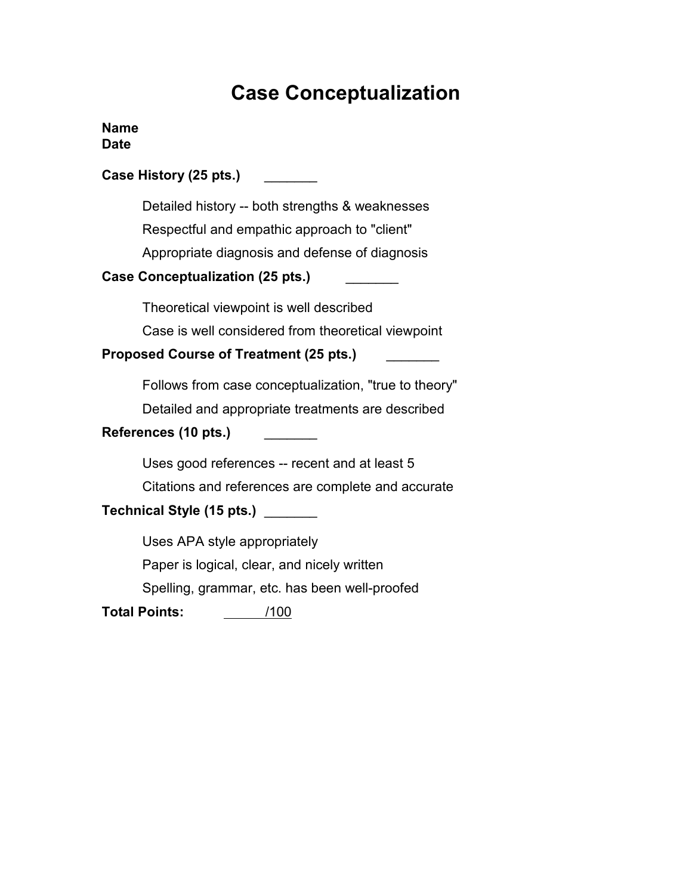# Case Conceptualization

### Name Date

| Case History (25 pts.)                                                                                                                            |
|---------------------------------------------------------------------------------------------------------------------------------------------------|
| Detailed history -- both strengths & weaknesses<br>Respectful and empathic approach to "client"<br>Appropriate diagnosis and defense of diagnosis |
| <b>Case Conceptualization (25 pts.)</b>                                                                                                           |
| Theoretical viewpoint is well described<br>Case is well considered from theoretical viewpoint<br><b>Proposed Course of Treatment (25 pts.)</b>    |
| Follows from case conceptualization, "true to theory"<br>Detailed and appropriate treatments are described<br>References (10 pts.)                |
| Uses good references -- recent and at least 5<br>Citations and references are complete and accurate<br>Technical Style (15 pts.) ____             |
| Uses APA style appropriately<br>Paper is logical, clear, and nicely written<br>Spelling, grammar, etc. has been well-proofed                      |
| Total Points:<br>/100                                                                                                                             |